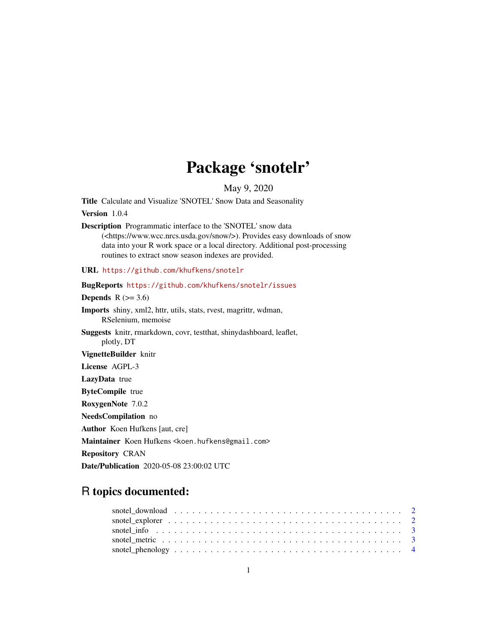## Package 'snotelr'

May 9, 2020

Title Calculate and Visualize 'SNOTEL' Snow Data and Seasonality

Version 1.0.4

Description Programmatic interface to the 'SNOTEL' snow data (<https://www.wcc.nrcs.usda.gov/snow/>). Provides easy downloads of snow data into your R work space or a local directory. Additional post-processing routines to extract snow season indexes are provided.

URL <https://github.com/khufkens/snotelr>

BugReports <https://github.com/khufkens/snotelr/issues> Depends  $R$  ( $>= 3.6$ ) Imports shiny, xml2, httr, utils, stats, rvest, magrittr, wdman, RSelenium, memoise Suggests knitr, rmarkdown, covr, testthat, shinydashboard, leaflet, plotly, DT VignetteBuilder knitr License AGPL-3 LazyData true ByteCompile true RoxygenNote 7.0.2 NeedsCompilation no Author Koen Hufkens [aut, cre] Maintainer Koen Hufkens <koen.hufkens@gmail.com> Repository CRAN

Date/Publication 2020-05-08 23:00:02 UTC

### R topics documented: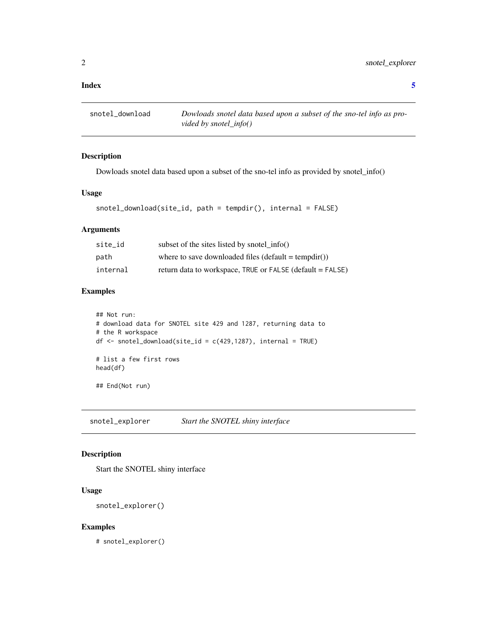<span id="page-1-0"></span>snotel\_download *Dowloads snotel data based upon a subset of the sno-tel info as provided by snotel\_info()*

#### Description

Dowloads snotel data based upon a subset of the sno-tel info as provided by snotel\_info()

#### Usage

```
snotel_download(site_id, path = tempdir(), internal = FALSE)
```
#### Arguments

| site id  | subset of the sites listed by snotel $info()$             |
|----------|-----------------------------------------------------------|
| path     | where to save downloaded files (default = tempdir())      |
| internal | return data to workspace, TRUE or FALSE (default = FALSE) |

#### Examples

```
## Not run:
# download data for SNOTEL site 429 and 1287, returning data to
# the R workspace
df \leftarrow snotel_download(site_id = c(429,1287), internal = TRUE)
# list a few first rows
head(df)
## End(Not run)
```
snotel\_explorer *Start the SNOTEL shiny interface*

#### Description

Start the SNOTEL shiny interface

#### Usage

```
snotel_explorer()
```
#### Examples

# snotel\_explorer()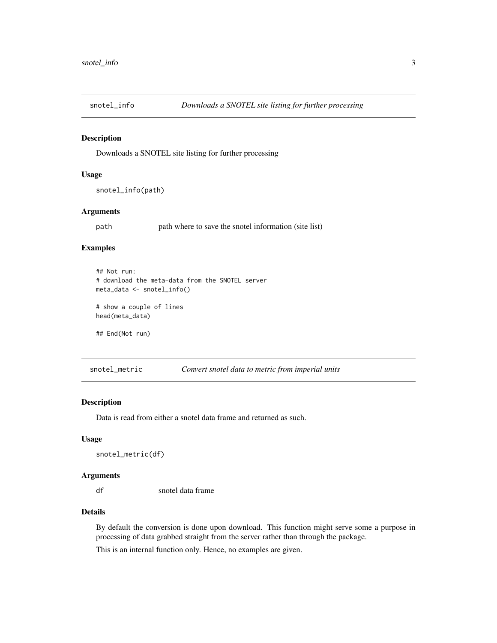<span id="page-2-0"></span>

#### Description

Downloads a SNOTEL site listing for further processing

#### Usage

```
snotel_info(path)
```
#### Arguments

path path where to save the snotel information (site list)

#### Examples

```
## Not run:
# download the meta-data from the SNOTEL server
meta_data <- snotel_info()
# show a couple of lines
head(meta_data)
## End(Not run)
```
snotel\_metric *Convert snotel data to metric from imperial units*

#### Description

Data is read from either a snotel data frame and returned as such.

#### Usage

```
snotel_metric(df)
```
#### Arguments

df snotel data frame

#### Details

By default the conversion is done upon download. This function might serve some a purpose in processing of data grabbed straight from the server rather than through the package.

This is an internal function only. Hence, no examples are given.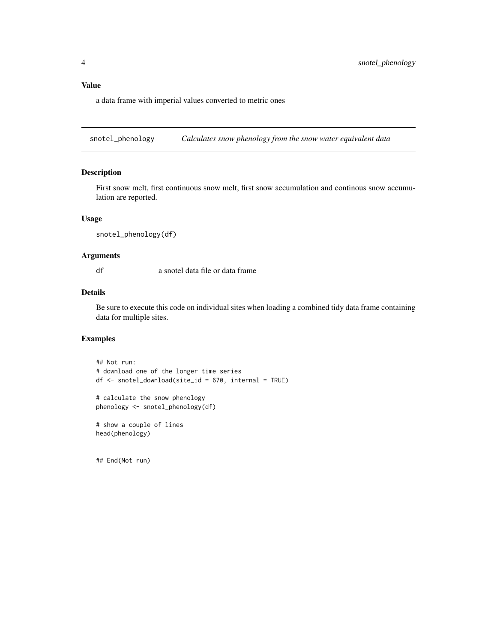#### <span id="page-3-0"></span>Value

a data frame with imperial values converted to metric ones

snotel\_phenology *Calculates snow phenology from the snow water equivalent data*

#### Description

First snow melt, first continuous snow melt, first snow accumulation and continous snow accumulation are reported.

#### Usage

```
snotel_phenology(df)
```
#### Arguments

df a snotel data file or data frame

#### Details

Be sure to execute this code on individual sites when loading a combined tidy data frame containing data for multiple sites.

#### Examples

```
## Not run:
# download one of the longer time series
df <- snotel_download(site_id = 670, internal = TRUE)
```

```
# calculate the snow phenology
phenology <- snotel_phenology(df)
```
# show a couple of lines head(phenology)

## End(Not run)